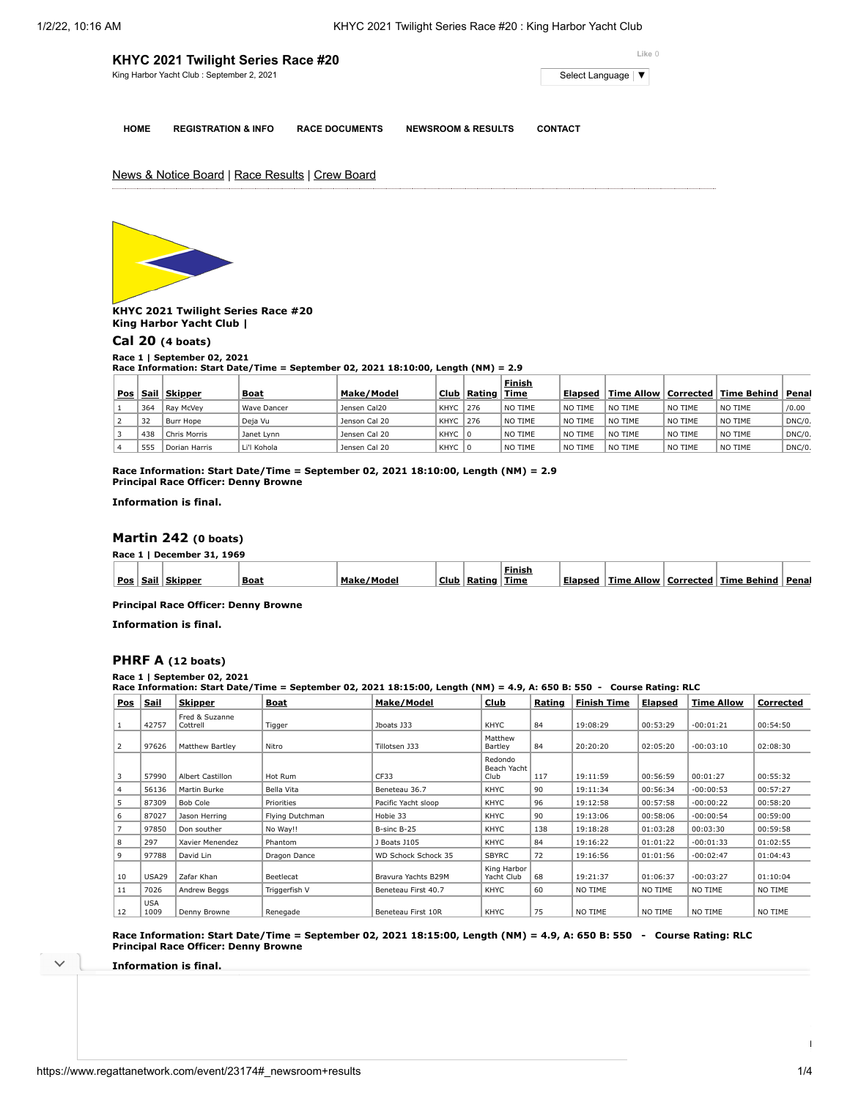| KHYC 2021 Twilight Series Race #20        | Like 0              |
|-------------------------------------------|---------------------|
| King Harbor Yacht Club: September 2, 2021 | Select Language   ▼ |
|                                           |                     |

**HOME REGISTRATION & INFO RACE DOCUMENTS NEWSROOM & RESULTS CONTACT**

**Finish**

News & Notice Board | Race Results | Crew Board



**KHYC 2021 Twilight Series Race #20 King Harbor Yacht Club |**

# **[Cal 20](https://www.regattanetwork.com/clubmgmt/applet_race_scores_khyc.php?regatta_id=23174&race_num=1) (4 boats)**

### **Race 1 | September 02, 2021**

**Race Information: Start Date/Time = September 02, 2021 18:10:00, Length (NM) = 2.9**

|     |      |               |             |               |             |                         | Finish  |                               |                                       |         |             |        |
|-----|------|---------------|-------------|---------------|-------------|-------------------------|---------|-------------------------------|---------------------------------------|---------|-------------|--------|
| Pos | Sail | Skipper       | <b>Boat</b> | Make/Model    | Club        | Rating                  | Time    | Elapsed                       | ∣ Time Allow   Corrected <sup> </sup> |         | Time Behind | Penal  |
|     | 364  | Rav McVev     | Wave Dancer | Jensen Cal20  | <b>KHYC</b> | 276                     | NO TIME | N <sub>O</sub><br>TIME        | NO TIME                               | NO TIME | NO TIME     | /0.00  |
|     | 32   | Burr Hope     | Deja Vu     | Jenson Cal 20 | <b>KHYC</b> | 276                     | NO TIME | NO TIME                       | NO TIME                               | NO TIME | NO TIME     | DNC/0. |
|     | 438  | Chris Morris  | Janet Lynn  | Jensen Cal 20 | <b>KHYC</b> | $\mathsf{I} \mathsf{O}$ | NO TIME | N <sub>O</sub><br>TIME        | NO TIME                               | NO TIME | NO TIME     | DNC/0. |
|     | 555  | Dorian Harris | Li'l Kohola | Jensen Cal 20 | <b>KHYC</b> | 1 O                     | NO TIME | N <sub>O</sub><br><b>TIME</b> | NO TIME                               | NO TIME | NO TIME     | DNC/0. |

**Race Information: Start Date/Time = September 02, 2021 18:10:00, Length (NM) = 2.9 Principal Race Officer: Denny Browne**

**Information is final.**

## **[Martin 242](https://www.regattanetwork.com/clubmgmt/applet_race_scores_khyc.php?regatta_id=23174&race_num=1) (0 boats)**

**Race 1 | December 31, 1969**

|     |     |         |        |        |      |           | Finis.        |                    |     |      |      |
|-----|-----|---------|--------|--------|------|-----------|---------------|--------------------|-----|------|------|
| Pos | saı | Skinner | ' Boa. | <br>мa | Club | . .<br>ĸа | Time<br>----- | .<br>Allow<br>⊤ım⊾ | тег | Tıme | Pena |
|     |     |         |        |        |      |           |               |                    |     |      |      |

**Principal Race Officer: Denny Browne**

**Information is final.**

### **[PHRF A](https://www.regattanetwork.com/clubmgmt/applet_race_scores_khyc.php?regatta_id=23174&race_num=1) (12 boats)**

**Race 1 | September 02, 2021**

**Race Information: Start Date/Time = September 02, 2021 18:15:00, Length (NM) = 4.9, A: 650 B: 550 - Course Rating: RLC**

| <u>Pos</u>     | <u>Sail</u>  | <u>Skipper</u>             | <b>Boat</b>     | Make/Model          | <b>Club</b>                    | Rating | <b>Finish Time</b> | <u>Elapsed</u> | <b>Time Allow</b> | <b>Corrected</b> |
|----------------|--------------|----------------------------|-----------------|---------------------|--------------------------------|--------|--------------------|----------------|-------------------|------------------|
|                | 42757        | Fred & Suzanne<br>Cottrell | Tigger          | Jboats J33          | <b>KHYC</b>                    | 84     | 19:08:29           | 00:53:29       | $-00:01:21$       | 00:54:50         |
| 2              | 97626        | Matthew Bartley            | Nitro           | Tillotsen J33       | Matthew<br>Bartley             | 84     | 20:20:20           | 02:05:20       | $-00:03:10$       | 02:08:30         |
| 3              | 57990        | <b>Albert Castillon</b>    | Hot Rum         | CF33                | Redondo<br>Beach Yacht<br>Club | 117    | 19:11:59           | 00:56:59       | 00:01:27          | 00:55:32         |
| 4              | 56136        | Martin Burke               | Bella Vita      | Beneteau 36.7       | <b>KHYC</b>                    | 90     | 19:11:34           | 00:56:34       | $-00:00:53$       | 00:57:27         |
| 5              | 87309        | Bob Cole                   | Priorities      | Pacific Yacht sloop | KHYC                           | 96     | 19:12:58           | 00:57:58       | $-00:00:22$       | 00:58:20         |
| 6              | 87027        | Jason Herring              | Flying Dutchman | Hobie 33            | KHYC                           | 90     | 19:13:06           | 00:58:06       | $-00:00:54$       | 00:59:00         |
| $\overline{7}$ | 97850        | Don souther                | No Wav!!        | B-sinc B-25         | KHYC                           | 138    | 19:18:28           | 01:03:28       | 00:03:30          | 00:59:58         |
| 8              | 297          | Xavier Menendez            | Phantom         | J Boats J105        | KHYC                           | 84     | 19:16:22           | 01:01:22       | $-00:01:33$       | 01:02:55         |
| 9              | 97788        | David Lin                  | Dragon Dance    | WD Schock Schock 35 | <b>SBYRC</b>                   | 72     | 19:16:56           | 01:01:56       | $-00:02:47$       | 01:04:43         |
| 10             | <b>USA29</b> | Zafar Khan                 | Beetlecat       | Bravura Yachts B29M | King Harbor<br>Yacht Club      | 68     | 19:21:37           | 01:06:37       | $-00:03:27$       | 01:10:04         |
| 11             | 7026         | Andrew Beggs               | Triggerfish V   | Beneteau First 40.7 | KHYC                           | 60     | NO TIME            | NO TIME        | NO TIME           | NO TIME          |
| 12             | USA<br>1009  | Denny Browne               | Renegade        | Beneteau First 10R  | KHYC                           | 75     | NO TIME            | NO TIME        | NO TIME           | NO TIME          |

**Race Information: Start Date/Time = September 02, 2021 18:15:00, Length (NM) = 4.9, A: 650 B: 550 - Course Rating: RLC Principal Race Officer: Denny Browne**

**Information is final.**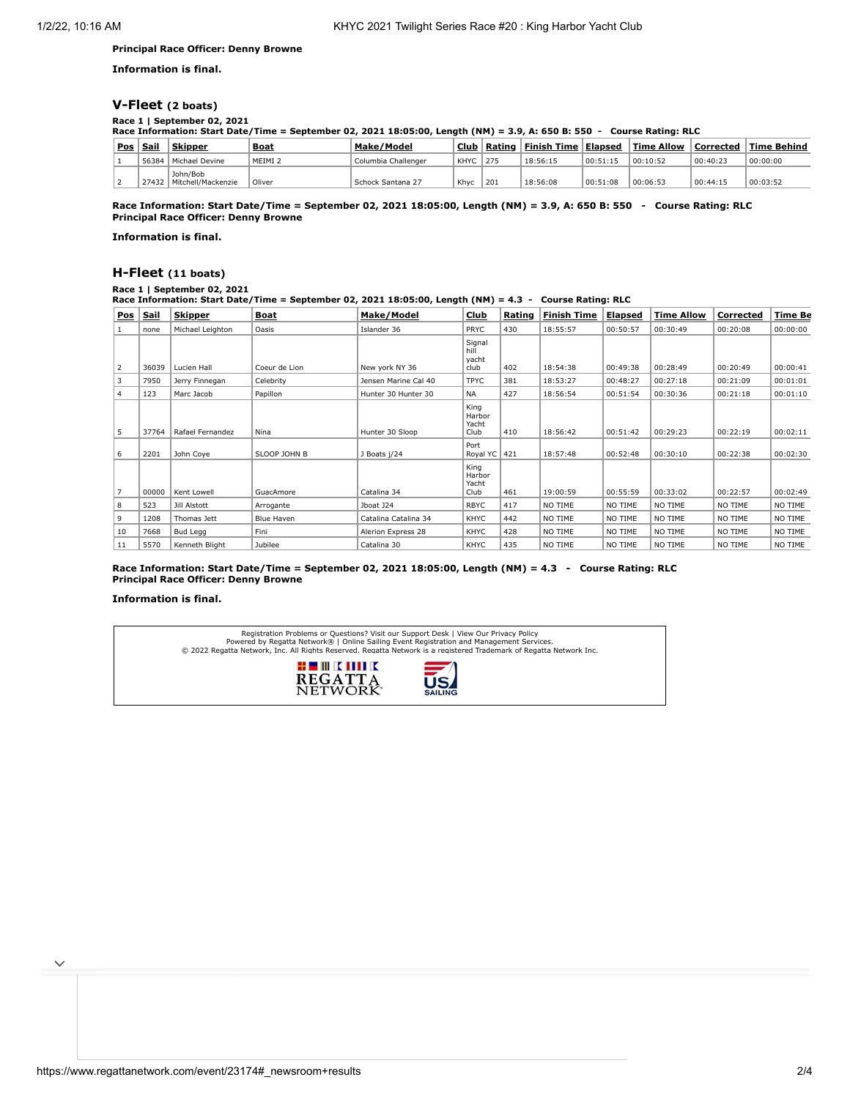#### **Principal Race Officer: Denny Browne**

### **Information is final.**

## **[V-Fleet](https://www.regattanetwork.com/clubmgmt/applet_race_scores_khyc.php?regatta_id=23174&race_num=1) (2 boats)**

#### **Race 1 | September 02, 2021**

**Race Information: Start Date/Time = September 02, 2021 18:05:00, Length (NM) = 3.9, A: 650 B: 550 - Course Rating: RLC**

| Pos | Sail  | <b>Skipper</b>                 | <b>Boat</b>        | Make/Model          | Club | Rating | Finish Time | Elapsed  | Time Allow | Corrected | Time Behind |
|-----|-------|--------------------------------|--------------------|---------------------|------|--------|-------------|----------|------------|-----------|-------------|
|     | 56384 | Michael Devine                 | MEIMI <sub>2</sub> | Columbia Challenger | KHYC | 275    | 18:56:15    | 00:51:15 | 00:10:52   | 00:40:23  | 00:00:00    |
|     | 27432 | John/Bob<br>Mitchell/Mackenzie | Oliver             | Schock Santana 27   | Khyc | 201    | 18:56:08    | 00:51:08 | 00:06:53   | 00:44:15  | 00:03:52    |

**Race Information: Start Date/Time = September 02, 2021 18:05:00, Length (NM) = 3.9, A: 650 B: 550 - Course Rating: RLC Principal Race Officer: Denny Browne**

## **Information is final.**

# **[H-Fleet](https://www.regattanetwork.com/clubmgmt/applet_race_scores_khyc.php?regatta_id=23174&race_num=1) (11 boats)**

**Race 1 | September 02, 2021**

**Race Information: Start Date/Time = September 02, 2021 18:05:00, Length (NM) = 4.3 - Course Rating: RLC**

| <b>Pos</b>     | Sail  | <b>Skipper</b>   | <b>Boat</b>   | Make/Model           | Club                            | Rating | <b>Finish Time</b> | <b>Elapsed</b> | <b>Time Allow</b> | Corrected | Time Be  |
|----------------|-------|------------------|---------------|----------------------|---------------------------------|--------|--------------------|----------------|-------------------|-----------|----------|
|                | none  | Michael Leighton | Oasis         | Islander 36          | PRYC                            | 430    | 18:55:57           | 00:50:57       | 00:30:49          | 00:20:08  | 00:00:00 |
| 2              | 36039 | Lucien Hall      | Coeur de Lion | New york NY 36       | Signal<br>hill<br>yacht<br>club | 402    | 18:54:38           | 00:49:38       | 00:28:49          | 00:20:49  | 00:00:41 |
| 3              | 7950  | Jerry Finnegan   | Celebrity     | Jensen Marine Cal 40 | <b>TPYC</b>                     | 381    | 18:53:27           | 00:48:27       | 00:27:18          | 00:21:09  | 00:01:01 |
| 4              | 123   | Marc Jacob       | Papillon      | Hunter 30 Hunter 30  | <b>NA</b>                       | 427    | 18:56:54           | 00:51:54       | 00:30:36          | 00:21:18  | 00:01:10 |
| 5              | 37764 | Rafael Fernandez | Nina          | Hunter 30 Sloop      | King<br>Harbor<br>Yacht<br>Club | 410    | 18:56:42           | 00:51:42       | 00:29:23          | 00:22:19  | 00:02:11 |
| 6              | 2201  | John Coye        | SLOOP JOHN B  | J Boats j/24         | Port<br>Royal YC                | 421    | 18:57:48           | 00:52:48       | 00:30:10          | 00:22:38  | 00:02:30 |
| $\overline{7}$ | 00000 | Kent Lowell      | GuacAmore     | Catalina 34          | King<br>Harbor<br>Yacht<br>Club | 461    | 19:00:59           | 00:55:59       | 00:33:02          | 00:22:57  | 00:02:49 |
| 8              | 523   | Jill Alstott     | Arrogante     | Jboat J24            | <b>RBYC</b>                     | 417    | NO TIME            | NO TIME        | NO TIME           | NO TIME   | NO TIME  |
| 9              | 1208  | Thomas Jett      | Blue Haven    | Catalina Catalina 34 | KHYC                            | 442    | NO TIME            | NO TIME        | NO TIME           | NO TIME   | NO TIME  |
| 10             | 7668  | <b>Bud Legg</b>  | Fini          | Alerion Express 28   | KHYC                            | 428    | NO TIME            | NO TIME        | NO TIME           | NO TIME   | NO TIME  |
| 11             | 5570  | Kenneth Blight   | Jubilee       | Catalina 30          | KHYC                            | 435    | NO TIME            | NO TIME        | NO TIME           | NO TIME   | NO TIME  |

#### **Race Information: Start Date/Time = September 02, 2021 18:05:00, Length (NM) = 4.3 - Course Rating: RLC Principal Race Officer: Denny Browne**

#### **Information is final.**

Registration Problems or Questions? [Visit our Support Desk](http://support.regattanetwork.com/) | [View Our Privacy Policy](https://www.regattanetwork.com/html/privacy.html)<br>[Powered by Regatta Network®](http://www.regattanetwork.com/) | Online Sailing Event Registration and Management Services.<br>© 2022 [Regatta Network](http://www.regattanetwork.com/), Inc. All Rights Reserved



 $\checkmark$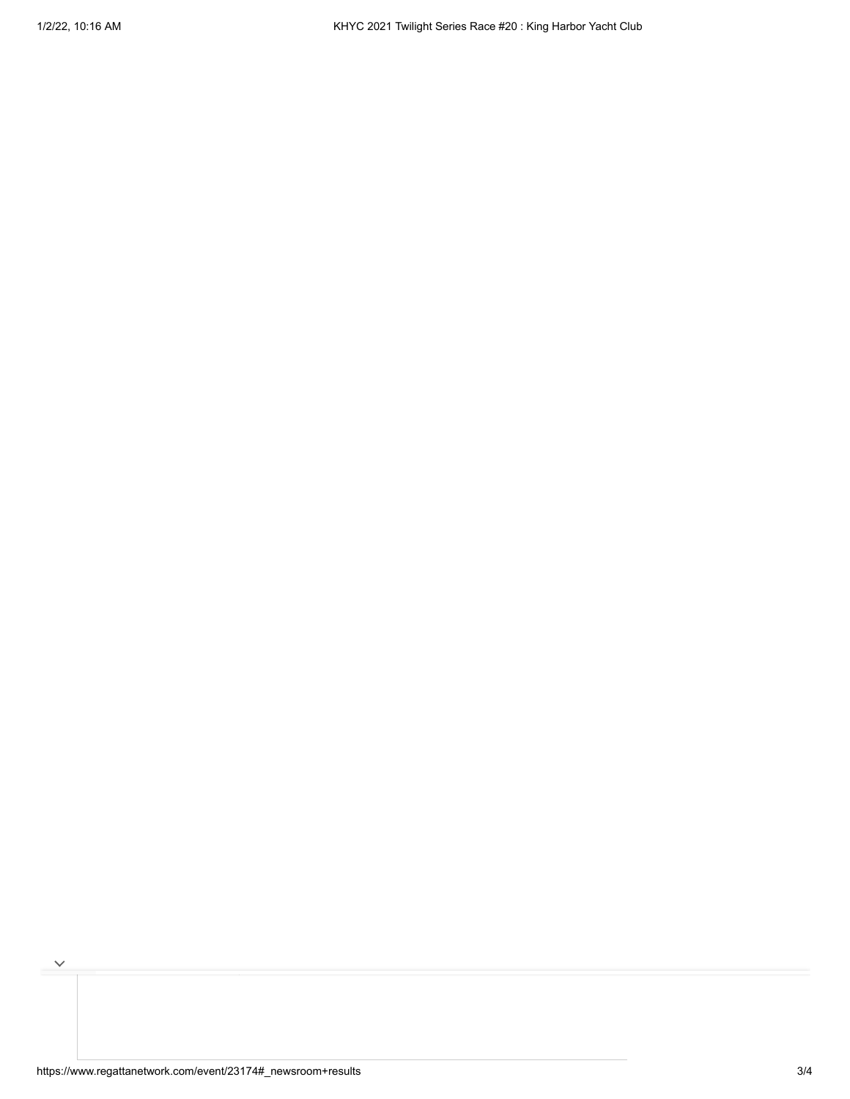$\checkmark$